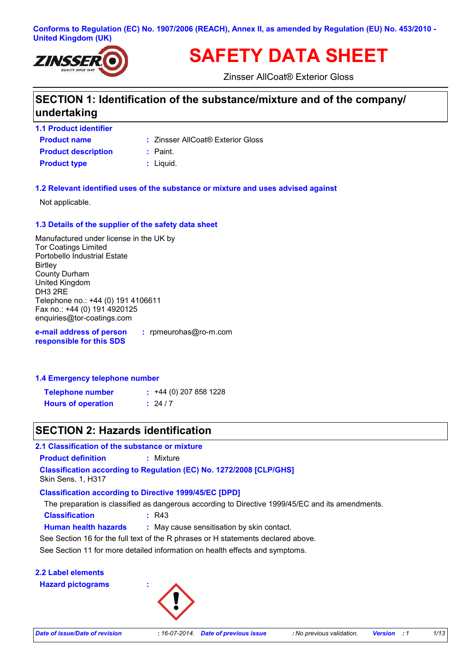#### **Conforms to Regulation (EC) No. 1907/2006 (REACH), Annex II, as amended by Regulation (EU) No. 453/2010 - United Kingdom (UK)**



# **SAFETY DATA SHEET**

Zinsser AllCoat® Exterior Gloss

# **SECTION 1: Identification of the substance/mixture and of the company/ undertaking**

- **Product name 1.1 Product identifier Product description :** Paint.
	- Zinsser AllCoat® Exterior Gloss **:**
	-
- **Product type**  $\qquad$ **: Liquid.**

#### **1.2 Relevant identified uses of the substance or mixture and uses advised against**

Not applicable.

#### **1.3 Details of the supplier of the safety data sheet**

Manufactured under license in the UK by Tor Coatings Limited Portobello Industrial Estate **Birtley** County Durham United Kingdom DH3 2RE Telephone no.: +44 (0) 191 4106611 Fax no.: +44 (0) 191 4920125 enquiries@tor-coatings.com

**e-mail address of person responsible for this SDS :** rpmeurohas@ro-m.com

#### **1.4 Emergency telephone number**

| <b>Telephone number</b>   | $: +44(0)$ 207 858 1228 |
|---------------------------|-------------------------|
| <b>Hours of operation</b> | : 24/7                  |

### **SECTION 2: Hazards identification**

**2.1 Classification of the substance or mixture**

**Product definition :** Mixture

**Classification according to Regulation (EC) No. 1272/2008 [CLP/GHS]**

Skin Sens. 1, H317

#### **Classification according to Directive 1999/45/EC [DPD]**

**Classification :** R43 The preparation is classified as dangerous according to Directive 1999/45/EC and its amendments.

**Human health hazards :** May cause sensitisation by skin contact.

See Section 16 for the full text of the R phrases or H statements declared above.

See Section 11 for more detailed information on health effects and symptoms.

#### **2.2 Label elements**

**Hazard pictograms :**

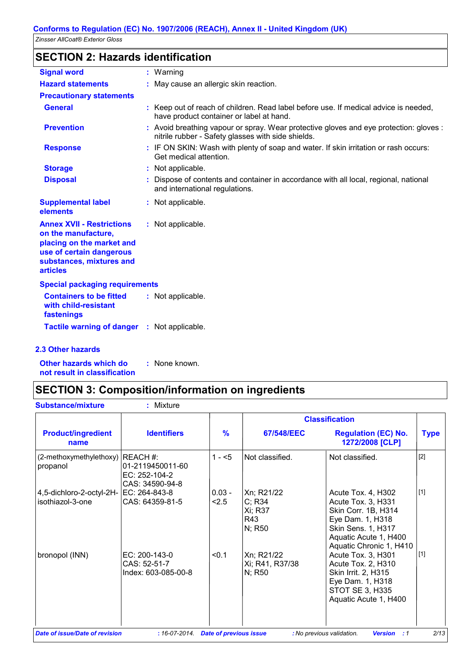# **SECTION 2: Hazards identification**

| <b>Signal word</b>                                                                                                                                              | $:$ Warning                                                                                                                                  |
|-----------------------------------------------------------------------------------------------------------------------------------------------------------------|----------------------------------------------------------------------------------------------------------------------------------------------|
| <b>Hazard statements</b>                                                                                                                                        | : May cause an allergic skin reaction.                                                                                                       |
| <b>Precautionary statements</b>                                                                                                                                 |                                                                                                                                              |
| <b>General</b>                                                                                                                                                  | : Keep out of reach of children. Read label before use. If medical advice is needed,<br>have product container or label at hand.             |
| <b>Prevention</b>                                                                                                                                               | : Avoid breathing vapour or spray. Wear protective gloves and eye protection: gloves :<br>nitrile rubber - Safety glasses with side shields. |
| <b>Response</b>                                                                                                                                                 | : IF ON SKIN: Wash with plenty of soap and water. If skin irritation or rash occurs:<br>Get medical attention.                               |
| <b>Storage</b>                                                                                                                                                  | : Not applicable.                                                                                                                            |
| <b>Disposal</b>                                                                                                                                                 | : Dispose of contents and container in accordance with all local, regional, national<br>and international regulations.                       |
| <b>Supplemental label</b><br>elements                                                                                                                           | : Not applicable.                                                                                                                            |
| <b>Annex XVII - Restrictions</b><br>on the manufacture,<br>placing on the market and<br>use of certain dangerous<br>substances, mixtures and<br><b>articles</b> | : Not applicable.                                                                                                                            |
| <b>Special packaging requirements</b>                                                                                                                           |                                                                                                                                              |
| <b>Containers to be fitted</b><br>with child-resistant<br>fastenings                                                                                            | : Not applicable.                                                                                                                            |
| <b>Tactile warning of danger</b>                                                                                                                                | : Not applicable.                                                                                                                            |
| <b>2.3 Other hazards</b>                                                                                                                                        |                                                                                                                                              |

**Other hazards which do : not result in classification** : None known.

 $\overline{\phantom{a}}$ 

# **SECTION 3: Composition/information on ingredients**

|                                                            |                                                                 |                   |                                                  | <b>Classification</b>                                                                                                                                         |             |
|------------------------------------------------------------|-----------------------------------------------------------------|-------------------|--------------------------------------------------|---------------------------------------------------------------------------------------------------------------------------------------------------------------|-------------|
| <b>Product/ingredient</b><br>name                          | <b>Identifiers</b>                                              | $\frac{9}{6}$     | 67/548/EEC                                       | <b>Regulation (EC) No.</b><br>1272/2008 [CLP]                                                                                                                 | <b>Type</b> |
| (2-methoxymethylethoxy)<br>propanol                        | REACH#:<br>01-2119450011-60<br>EC: 252-104-2<br>CAS: 34590-94-8 | $1 - 5$           | Not classified.                                  | Not classified.                                                                                                                                               | $[2]$       |
| 4,5-dichloro-2-octyl-2H- EC: 264-843-8<br>isothiazol-3-one | CAS: 64359-81-5                                                 | $0.03 -$<br>< 2.5 | Xn; R21/22<br>C; R34<br>Xi; R37<br>R43<br>N; R50 | Acute Tox. 4, H302<br>Acute Tox. 3, H331<br>Skin Corr. 1B, H314<br>Eye Dam. 1, H318<br>Skin Sens. 1, H317<br>Aquatic Acute 1, H400<br>Aquatic Chronic 1, H410 | $[1]$       |
| bronopol (INN)                                             | EC: 200-143-0<br>CAS: 52-51-7<br>Index: 603-085-00-8            | < 0.1             | Xn; R21/22<br>Xi; R41, R37/38<br>N; R50          | Acute Tox. 3, H301<br>Acute Tox. 2, H310<br>Skin Irrit. 2, H315<br>Eye Dam. 1, H318<br>STOT SE 3, H335<br>Aquatic Acute 1, H400                               | $[1]$       |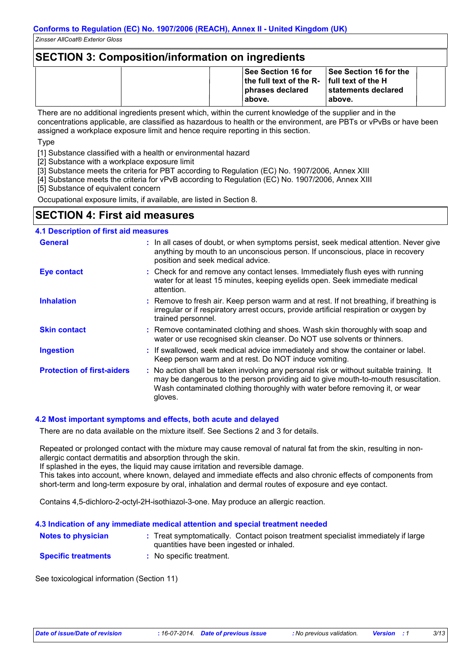### **SECTION 3: Composition/information on ingredients**

|  | <b>See Section 16 for</b><br>the full text of the $R-$ full text of the H<br>phrases declared<br>⊧above. | <b>See Section 16 for the</b><br>⊺statements declared<br>above. |
|--|----------------------------------------------------------------------------------------------------------|-----------------------------------------------------------------|
|--|----------------------------------------------------------------------------------------------------------|-----------------------------------------------------------------|

There are no additional ingredients present which, within the current knowledge of the supplier and in the concentrations applicable, are classified as hazardous to health or the environment, are PBTs or vPvBs or have been assigned a workplace exposure limit and hence require reporting in this section.

Type

[1] Substance classified with a health or environmental hazard

[2] Substance with a workplace exposure limit

[3] Substance meets the criteria for PBT according to Regulation (EC) No. 1907/2006, Annex XIII

[4] Substance meets the criteria for vPvB according to Regulation (EC) No. 1907/2006, Annex XIII

[5] Substance of equivalent concern

Occupational exposure limits, if available, are listed in Section 8.

### **SECTION 4: First aid measures**

#### **4.1 Description of first aid measures**

| <b>General</b>                    | : In all cases of doubt, or when symptoms persist, seek medical attention. Never give<br>anything by mouth to an unconscious person. If unconscious, place in recovery<br>position and seek medical advice.                                                              |
|-----------------------------------|--------------------------------------------------------------------------------------------------------------------------------------------------------------------------------------------------------------------------------------------------------------------------|
| <b>Eye contact</b>                | : Check for and remove any contact lenses. Immediately flush eyes with running<br>water for at least 15 minutes, keeping eyelids open. Seek immediate medical<br>attention.                                                                                              |
| <b>Inhalation</b>                 | : Remove to fresh air. Keep person warm and at rest. If not breathing, if breathing is<br>irregular or if respiratory arrest occurs, provide artificial respiration or oxygen by<br>trained personnel.                                                                   |
| <b>Skin contact</b>               | : Remove contaminated clothing and shoes. Wash skin thoroughly with soap and<br>water or use recognised skin cleanser. Do NOT use solvents or thinners.                                                                                                                  |
| <b>Ingestion</b>                  | : If swallowed, seek medical advice immediately and show the container or label.<br>Keep person warm and at rest. Do NOT induce vomiting.                                                                                                                                |
| <b>Protection of first-aiders</b> | : No action shall be taken involving any personal risk or without suitable training. It<br>may be dangerous to the person providing aid to give mouth-to-mouth resuscitation.<br>Wash contaminated clothing thoroughly with water before removing it, or wear<br>gloves. |

#### **4.2 Most important symptoms and effects, both acute and delayed**

There are no data available on the mixture itself. See Sections 2 and 3 for details.

Repeated or prolonged contact with the mixture may cause removal of natural fat from the skin, resulting in nonallergic contact dermatitis and absorption through the skin.

If splashed in the eyes, the liquid may cause irritation and reversible damage.

This takes into account, where known, delayed and immediate effects and also chronic effects of components from short-term and long-term exposure by oral, inhalation and dermal routes of exposure and eye contact.

Contains 4,5-dichloro-2-octyl-2H-isothiazol-3-one. May produce an allergic reaction.

### **Notes to physician** : Treat symptomatically. Contact poison treatment specialist immediately if large in the symptomatically. **4.3 Indication of any immediate medical attention and special treatment needed**

quantities have been ingested or inhaled.

**Specific treatments :** No specific treatment.

See toxicological information (Section 11)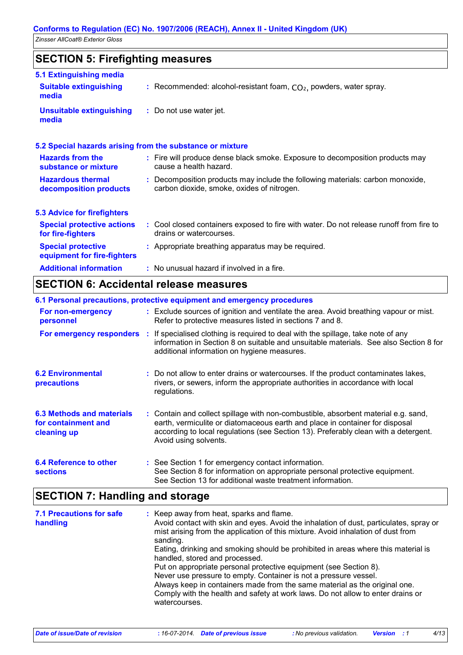# **SECTION 5: Firefighting measures**

| 5.1 Extinguishing media                                   |                                                                                                                              |
|-----------------------------------------------------------|------------------------------------------------------------------------------------------------------------------------------|
| <b>Suitable extinguishing</b><br>media                    | : Recommended: alcohol-resistant foam, $CO2$ , powders, water spray.                                                         |
| <b>Unsuitable extinguishing</b><br>media                  | : Do not use water jet.                                                                                                      |
| 5.2 Special hazards arising from the substance or mixture |                                                                                                                              |
| <b>Hazards from the</b><br>substance or mixture           | : Fire will produce dense black smoke. Exposure to decomposition products may<br>cause a health hazard.                      |
| <b>Hazardous thermal</b><br>decomposition products        | : Decomposition products may include the following materials: carbon monoxide,<br>carbon dioxide, smoke, oxides of nitrogen. |
| <b>5.3 Advice for firefighters</b>                        |                                                                                                                              |
| <b>Special protective actions</b><br>for fire-fighters    | : Cool closed containers exposed to fire with water. Do not release runoff from fire to<br>drains or watercourses.           |
| <b>Special protective</b><br>equipment for fire-fighters  | : Appropriate breathing apparatus may be required.                                                                           |
| <b>Additional information</b>                             | : No unusual hazard if involved in a fire.                                                                                   |

# **SECTION 6: Accidental release measures**

|                                                                        | 6.1 Personal precautions, protective equipment and emergency procedures                                                                                                                                                                                                            |
|------------------------------------------------------------------------|------------------------------------------------------------------------------------------------------------------------------------------------------------------------------------------------------------------------------------------------------------------------------------|
| For non-emergency<br>personnel                                         | : Exclude sources of ignition and ventilate the area. Avoid breathing vapour or mist.<br>Refer to protective measures listed in sections 7 and 8.                                                                                                                                  |
| For emergency responders                                               | : If specialised clothing is required to deal with the spillage, take note of any<br>information in Section 8 on suitable and unsuitable materials. See also Section 8 for<br>additional information on hygiene measures.                                                          |
| <b>6.2 Environmental</b><br><b>precautions</b>                         | : Do not allow to enter drains or watercourses. If the product contaminates lakes,<br>rivers, or sewers, inform the appropriate authorities in accordance with local<br>regulations.                                                                                               |
| <b>6.3 Methods and materials</b><br>for containment and<br>cleaning up | : Contain and collect spillage with non-combustible, absorbent material e.g. sand,<br>earth, vermiculite or diatomaceous earth and place in container for disposal<br>according to local regulations (see Section 13). Preferably clean with a detergent.<br>Avoid using solvents. |
| 6.4 Reference to other<br><b>sections</b>                              | : See Section 1 for emergency contact information.<br>See Section 8 for information on appropriate personal protective equipment.<br>See Section 13 for additional waste treatment information.                                                                                    |

# **SECTION 7: Handling and storage**

| <b>7.1 Precautions for safe</b><br>handling | : Keep away from heat, sparks and flame.<br>Avoid contact with skin and eyes. Avoid the inhalation of dust, particulates, spray or<br>mist arising from the application of this mixture. Avoid inhalation of dust from<br>sanding.<br>Eating, drinking and smoking should be prohibited in areas where this material is<br>handled, stored and processed.<br>Put on appropriate personal protective equipment (see Section 8).<br>Never use pressure to empty. Container is not a pressure vessel.<br>Always keep in containers made from the same material as the original one.<br>Comply with the health and safety at work laws. Do not allow to enter drains or<br>watercourses. |
|---------------------------------------------|--------------------------------------------------------------------------------------------------------------------------------------------------------------------------------------------------------------------------------------------------------------------------------------------------------------------------------------------------------------------------------------------------------------------------------------------------------------------------------------------------------------------------------------------------------------------------------------------------------------------------------------------------------------------------------------|
|---------------------------------------------|--------------------------------------------------------------------------------------------------------------------------------------------------------------------------------------------------------------------------------------------------------------------------------------------------------------------------------------------------------------------------------------------------------------------------------------------------------------------------------------------------------------------------------------------------------------------------------------------------------------------------------------------------------------------------------------|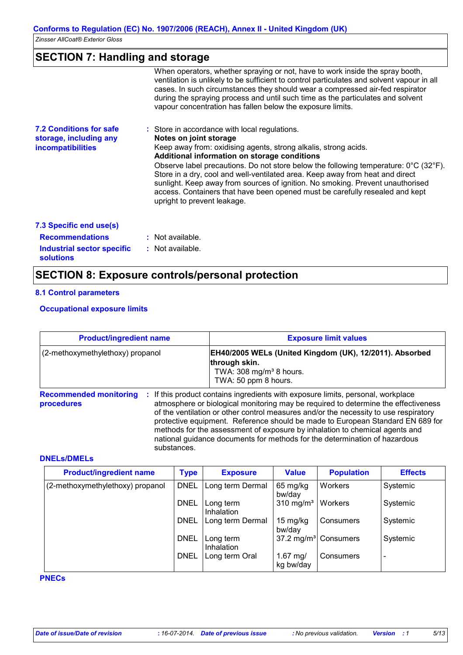# **SECTION 7: Handling and storage**

|                                                                                      | When operators, whether spraying or not, have to work inside the spray booth,<br>ventilation is unlikely to be sufficient to control particulates and solvent vapour in all<br>cases. In such circumstances they should wear a compressed air-fed respirator<br>during the spraying process and until such time as the particulates and solvent                                          |
|--------------------------------------------------------------------------------------|------------------------------------------------------------------------------------------------------------------------------------------------------------------------------------------------------------------------------------------------------------------------------------------------------------------------------------------------------------------------------------------|
|                                                                                      | vapour concentration has fallen below the exposure limits.                                                                                                                                                                                                                                                                                                                               |
| <b>7.2 Conditions for safe</b><br>storage, including any<br><b>incompatibilities</b> | : Store in accordance with local regulations.<br>Notes on joint storage<br>Keep away from: oxidising agents, strong alkalis, strong acids.<br>Additional information on storage conditions<br>Observe label precautions. Do not store below the following temperature: $0^{\circ}$ C (32 $^{\circ}$ F).<br>Store in a dry, cool and well-ventilated area. Keep away from heat and direct |
|                                                                                      | sunlight. Keep away from sources of ignition. No smoking. Prevent unauthorised<br>access. Containers that have been opened must be carefully resealed and kept<br>upright to prevent leakage.                                                                                                                                                                                            |
| 7.3 Specific end use(s)                                                              |                                                                                                                                                                                                                                                                                                                                                                                          |
| <b>Recommendations</b>                                                               | : Not available.                                                                                                                                                                                                                                                                                                                                                                         |
| Industrial sector specific<br><b>solutions</b>                                       | $:$ Not available.                                                                                                                                                                                                                                                                                                                                                                       |
|                                                                                      | <b>SECTION 8: Exposure controls/personal protection</b>                                                                                                                                                                                                                                                                                                                                  |

#### **8.1 Control parameters**

#### **Occupational exposure limits**

| <b>Product/ingredient name</b><br>(2-methoxymethylethoxy) propanol |             | <b>Exposure limit values</b>                                                                                                                                                                                                                                                                                                                                                                                                                                                                                |  |  |
|--------------------------------------------------------------------|-------------|-------------------------------------------------------------------------------------------------------------------------------------------------------------------------------------------------------------------------------------------------------------------------------------------------------------------------------------------------------------------------------------------------------------------------------------------------------------------------------------------------------------|--|--|
|                                                                    |             | EH40/2005 WELs (United Kingdom (UK), 12/2011). Absorbed<br>through skin.<br>TWA: 308 mg/m <sup>3</sup> 8 hours.<br>TWA: 50 ppm 8 hours.                                                                                                                                                                                                                                                                                                                                                                     |  |  |
| <b>Recommended monitoring</b><br>procedures                        | substances. | If this product contains ingredients with exposure limits, personal, workplace<br>atmosphere or biological monitoring may be required to determine the effectiveness<br>of the ventilation or other control measures and/or the necessity to use respiratory<br>protective equipment. Reference should be made to European Standard EN 689 for<br>methods for the assessment of exposure by inhalation to chemical agents and<br>national guidance documents for methods for the determination of hazardous |  |  |

#### **DNELs/DMELs**

| <b>Product/ingredient name</b>   | <b>Type</b> | <b>Exposure</b>         | <b>Value</b>            | <b>Population</b>                | <b>Effects</b>           |
|----------------------------------|-------------|-------------------------|-------------------------|----------------------------------|--------------------------|
| (2-methoxymethylethoxy) propanol | <b>DNEL</b> | Long term Dermal        | 65 mg/kg<br>bw/day      | Workers                          | Systemic                 |
|                                  | <b>DNEL</b> | Long term<br>Inhalation | $310 \text{ mg/m}^3$    | Workers                          | Systemic                 |
|                                  | <b>DNEL</b> | Long term Dermal        | 15 mg/kg<br>bw/day      | Consumers                        | Systemic                 |
|                                  | <b>DNEL</b> | Long term<br>Inhalation |                         | 37.2 mg/m <sup>3</sup> Consumers | Systemic                 |
|                                  | <b>DNEL</b> | Long term Oral          | 1.67 $mg/$<br>kg bw/day | Consumers                        | $\overline{\phantom{a}}$ |

#### **PNECs**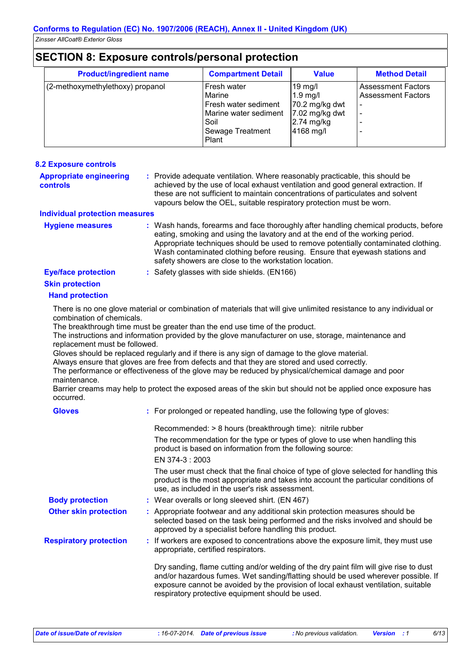# **SECTION 8: Exposure controls/personal protection**

| <b>Product/ingredient name</b>   | <b>Compartment Detail</b>                                                                                   | <b>Value</b>                                                                            | <b>Method Detail</b>                                   |
|----------------------------------|-------------------------------------------------------------------------------------------------------------|-----------------------------------------------------------------------------------------|--------------------------------------------------------|
| (2-methoxymethylethoxy) propanol | Fresh water<br>Marine<br>Fresh water sediment<br>Marine water sediment<br>Soil<br>Sewage Treatment<br>Plant | $19$ mg/l<br>$1.9$ mg/<br>70.2 mg/kg dwt<br>7.02 mg/kg dwt<br>$2.74$ mg/kg<br>4168 mg/l | <b>Assessment Factors</b><br><b>Assessment Factors</b> |

| <b>8.2 Exposure controls</b>                      |                                                                                                                                                                                                                                                                                                                                                                                                   |
|---------------------------------------------------|---------------------------------------------------------------------------------------------------------------------------------------------------------------------------------------------------------------------------------------------------------------------------------------------------------------------------------------------------------------------------------------------------|
| <b>Appropriate engineering</b><br><b>controls</b> | : Provide adequate ventilation. Where reasonably practicable, this should be<br>achieved by the use of local exhaust ventilation and good general extraction. If<br>these are not sufficient to maintain concentrations of particulates and solvent<br>vapours below the OEL, suitable respiratory protection must be worn.                                                                       |
| <b>Individual protection measures</b>             |                                                                                                                                                                                                                                                                                                                                                                                                   |
| <b>Hygiene measures</b>                           | : Wash hands, forearms and face thoroughly after handling chemical products, before<br>eating, smoking and using the lavatory and at the end of the working period.<br>Appropriate techniques should be used to remove potentially contaminated clothing.<br>Wash contaminated clothing before reusing. Ensure that eyewash stations and<br>safety showers are close to the workstation location. |
| <b>Eye/face protection</b>                        | : Safety glasses with side shields. (EN166)                                                                                                                                                                                                                                                                                                                                                       |
| <b>Skin protection</b>                            |                                                                                                                                                                                                                                                                                                                                                                                                   |
| <b>Hand protection</b>                            |                                                                                                                                                                                                                                                                                                                                                                                                   |
| combination of chemicals.                         | There is no one glove material or combination of materials that will give unlimited resistance to any individual or                                                                                                                                                                                                                                                                               |
| replacement must be followed.                     | The breakthrough time must be greater than the end use time of the product.<br>The instructions and information provided by the glove manufacturer on use, storage, maintenance and                                                                                                                                                                                                               |
| maintenance.                                      | Gloves should be replaced regularly and if there is any sign of damage to the glove material.<br>Always ensure that gloves are free from defects and that they are stored and used correctly.<br>The performance or effectiveness of the glove may be reduced by physical/chemical damage and poor                                                                                                |
| occurred.                                         | Barrier creams may help to protect the exposed areas of the skin but should not be applied once exposure has                                                                                                                                                                                                                                                                                      |
| <b>Gloves</b>                                     | : For prolonged or repeated handling, use the following type of gloves:                                                                                                                                                                                                                                                                                                                           |
|                                                   | the contract of the contract of the contract of the contract of the contract of the contract of the contract of                                                                                                                                                                                                                                                                                   |

|                               | Recommended: > 8 hours (breakthrough time): nitrile rubber                                                                                                                                                                                                                                                            |
|-------------------------------|-----------------------------------------------------------------------------------------------------------------------------------------------------------------------------------------------------------------------------------------------------------------------------------------------------------------------|
|                               | The recommendation for the type or types of glove to use when handling this<br>product is based on information from the following source:                                                                                                                                                                             |
|                               | EN 374-3 : 2003                                                                                                                                                                                                                                                                                                       |
|                               | The user must check that the final choice of type of glove selected for handling this<br>product is the most appropriate and takes into account the particular conditions of<br>use, as included in the user's risk assessment.                                                                                       |
| <b>Body protection</b>        | : Wear overalls or long sleeved shirt. (EN 467)                                                                                                                                                                                                                                                                       |
| <b>Other skin protection</b>  | : Appropriate footwear and any additional skin protection measures should be<br>selected based on the task being performed and the risks involved and should be<br>approved by a specialist before handling this product.                                                                                             |
| <b>Respiratory protection</b> | : If workers are exposed to concentrations above the exposure limit, they must use<br>appropriate, certified respirators.                                                                                                                                                                                             |
|                               | Dry sanding, flame cutting and/or welding of the dry paint film will give rise to dust<br>and/or hazardous fumes. Wet sanding/flatting should be used wherever possible. If<br>exposure cannot be avoided by the provision of local exhaust ventilation, suitable<br>respiratory protective equipment should be used. |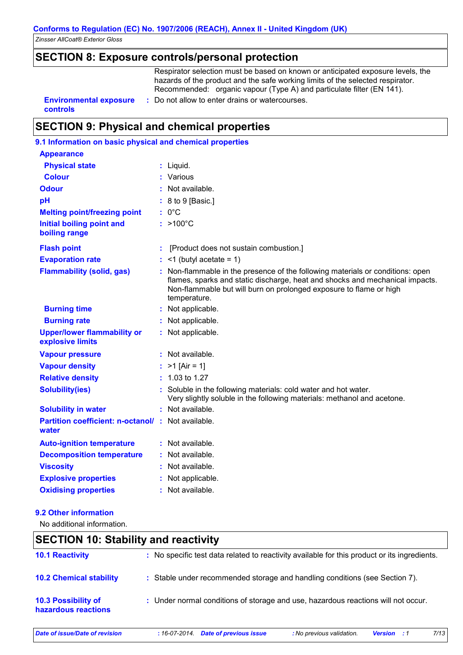# **SECTION 8: Exposure controls/personal protection**

Respirator selection must be based on known or anticipated exposure levels, the hazards of the product and the safe working limits of the selected respirator. Recommended: organic vapour (Type A) and particulate filter (EN 141).

**controls**

**Environmental exposure :** Do not allow to enter drains or watercourses.

### **SECTION 9: Physical and chemical properties**

# **9.1 Information on basic physical and chemical properties**

| <b>Appearance</b>                                                 |                                                                                                                                                                                                                                                      |
|-------------------------------------------------------------------|------------------------------------------------------------------------------------------------------------------------------------------------------------------------------------------------------------------------------------------------------|
| <b>Physical state</b>                                             | : Liquid.                                                                                                                                                                                                                                            |
| <b>Colour</b>                                                     | : Various                                                                                                                                                                                                                                            |
| <b>Odour</b>                                                      | : Not available.                                                                                                                                                                                                                                     |
| pH                                                                | : 8 to 9 [Basic.]                                                                                                                                                                                                                                    |
| <b>Melting point/freezing point</b>                               | $: 0^{\circ}$ C                                                                                                                                                                                                                                      |
| <b>Initial boiling point and</b><br>boiling range                 | $: >100^{\circ}$ C                                                                                                                                                                                                                                   |
| <b>Flash point</b>                                                | [Product does not sustain combustion.]                                                                                                                                                                                                               |
| <b>Evaporation rate</b>                                           | $:$ <1 (butyl acetate = 1)                                                                                                                                                                                                                           |
| <b>Flammability (solid, gas)</b>                                  | : Non-flammable in the presence of the following materials or conditions: open<br>flames, sparks and static discharge, heat and shocks and mechanical impacts.<br>Non-flammable but will burn on prolonged exposure to flame or high<br>temperature. |
| <b>Burning time</b>                                               | : Not applicable.                                                                                                                                                                                                                                    |
| <b>Burning rate</b>                                               | : Not applicable.                                                                                                                                                                                                                                    |
| <b>Upper/lower flammability or</b><br>explosive limits            | : Not applicable.                                                                                                                                                                                                                                    |
| <b>Vapour pressure</b>                                            | : Not available.                                                                                                                                                                                                                                     |
| <b>Vapour density</b>                                             | : $>1$ [Air = 1]                                                                                                                                                                                                                                     |
| <b>Relative density</b>                                           | $: 1.03$ to 1.27                                                                                                                                                                                                                                     |
| <b>Solubility(ies)</b>                                            | : Soluble in the following materials: cold water and hot water.<br>Very slightly soluble in the following materials: methanol and acetone.                                                                                                           |
| <b>Solubility in water</b>                                        | : Not available.                                                                                                                                                                                                                                     |
| <b>Partition coefficient: n-octanol/: Not available.</b><br>water |                                                                                                                                                                                                                                                      |
| <b>Auto-ignition temperature</b>                                  | : Not available.                                                                                                                                                                                                                                     |
| <b>Decomposition temperature</b>                                  | : Not available.                                                                                                                                                                                                                                     |
| <b>Viscosity</b>                                                  | : Not available.                                                                                                                                                                                                                                     |
| <b>Explosive properties</b>                                       | : Not applicable.                                                                                                                                                                                                                                    |
| <b>Oxidising properties</b>                                       | : Not available.                                                                                                                                                                                                                                     |

#### **9.2 Other information**

No additional information.

### **SECTION 10: Stability and reactivity**

| <b>10.1 Reactivity</b>                            | : No specific test data related to reactivity available for this product or its ingredients. |
|---------------------------------------------------|----------------------------------------------------------------------------------------------|
| <b>10.2 Chemical stability</b>                    | : Stable under recommended storage and handling conditions (see Section 7).                  |
| <b>10.3 Possibility of</b><br>hazardous reactions | : Under normal conditions of storage and use, hazardous reactions will not occur.            |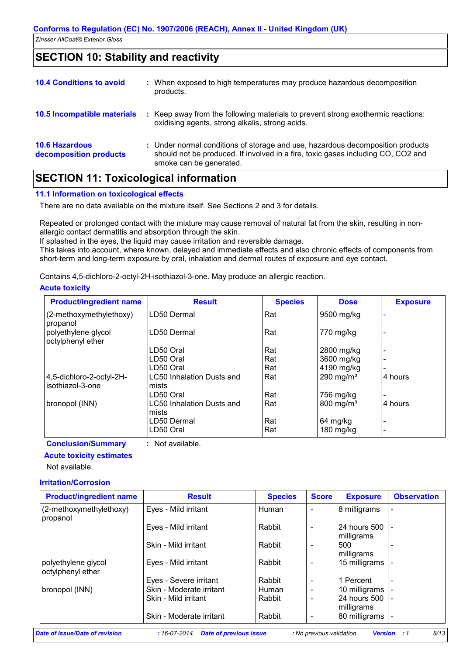### **SECTION 10: Stability and reactivity**

| <b>10.4 Conditions to avoid</b>                 | : When exposed to high temperatures may produce hazardous decomposition<br>products.                                                                                                          |
|-------------------------------------------------|-----------------------------------------------------------------------------------------------------------------------------------------------------------------------------------------------|
| <b>10.5 Incompatible materials</b>              | Keep away from the following materials to prevent strong exothermic reactions:<br>oxidising agents, strong alkalis, strong acids.                                                             |
| <b>10.6 Hazardous</b><br>decomposition products | : Under normal conditions of storage and use, hazardous decomposition products<br>should not be produced. If involved in a fire, toxic gases including CO, CO2 and<br>smoke can be generated. |

# **SECTION 11: Toxicological information**

#### **11.1 Information on toxicological effects**

There are no data available on the mixture itself. See Sections 2 and 3 for details.

Repeated or prolonged contact with the mixture may cause removal of natural fat from the skin, resulting in nonallergic contact dermatitis and absorption through the skin.

If splashed in the eyes, the liquid may cause irritation and reversible damage.

This takes into account, where known, delayed and immediate effects and also chronic effects of components from short-term and long-term exposure by oral, inhalation and dermal routes of exposure and eye contact.

Contains 4,5-dichloro-2-octyl-2H-isothiazol-3-one. May produce an allergic reaction.

#### **Acute toxicity**

| <b>Product/ingredient name</b>               | <b>Result</b>                       | <b>Species</b> | <b>Dose</b>             | <b>Exposure</b> |
|----------------------------------------------|-------------------------------------|----------------|-------------------------|-----------------|
| (2-methoxymethylethoxy)<br>propanol          | LD50 Dermal                         | Rat            | 9500 mg/kg              |                 |
| polyethylene glycol<br>octylphenyl ether     | LD50 Dermal                         | Rat            | 770 mg/kg               |                 |
|                                              | LD50 Oral                           | Rat            | 2800 mg/kg              |                 |
|                                              | LD50 Oral                           | Rat            | 3600 mg/kg              |                 |
|                                              | LD50 Oral                           | Rat            | 4190 mg/kg              |                 |
| 4,5-dichloro-2-octyl-2H-<br>isothiazol-3-one | LC50 Inhalation Dusts and<br>mists  | Rat            | 290 mg/ $m3$            | 4 hours         |
|                                              | LD50 Oral                           | Rat            | 756 mg/kg               |                 |
| bronopol (INN)                               | LC50 Inhalation Dusts and<br>lmists | Rat            | $800$ mg/m <sup>3</sup> | 4 hours         |
|                                              | LD50 Dermal<br>LD50 Oral            | Rat<br>Rat     | 64 mg/kg<br>$180$ mg/kg |                 |

#### **Conclusion/Summary :** Not available.

### **Acute toxicity estimates**

Not available.

#### **Irritation/Corrosion**

| <b>Product/ingredient name</b>           | <b>Result</b>            | <b>Species</b> | <b>Score</b>             | <b>Exposure</b>                 | <b>Observation</b> |
|------------------------------------------|--------------------------|----------------|--------------------------|---------------------------------|--------------------|
| (2-methoxymethylethoxy)<br>propanol      | Eyes - Mild irritant     | Human          | $\overline{\phantom{a}}$ | 8 milligrams                    |                    |
|                                          | Eyes - Mild irritant     | Rabbit         | $\overline{\phantom{a}}$ | I24 hours 500 I -<br>milligrams |                    |
|                                          | Skin - Mild irritant     | Rabbit         | $\overline{\phantom{a}}$ | 500<br>milligrams               |                    |
| polyethylene glycol<br>octylphenyl ether | Eyes - Mild irritant     | Rabbit         |                          | 15 milligrams                   |                    |
|                                          | Eyes - Severe irritant   | Rabbit         | $\overline{\phantom{0}}$ | 1 Percent                       |                    |
| bronopol (INN)                           | Skin - Moderate irritant | Human          | $\overline{\phantom{a}}$ | 10 milligrams                   |                    |
|                                          | Skin - Mild irritant     | Rabbit         | $\overline{\phantom{0}}$ | 24 hours 500 -<br>milligrams    |                    |
|                                          | Skin - Moderate irritant | Rabbit         |                          | 80 milligrams                   |                    |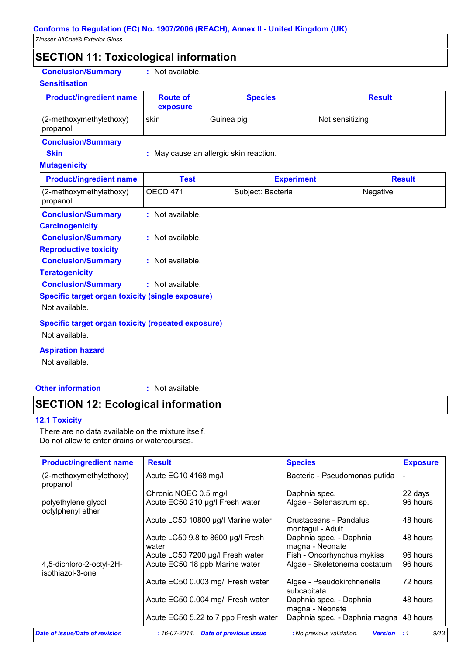# **SECTION 11: Toxicological information**

**Conclusion/Summary :** Not available.

#### **Sensitisation**

| <b>Product/ingredient name</b>        | <b>Route of</b><br>exposure | <b>Species</b> | <b>Result</b>   |
|---------------------------------------|-----------------------------|----------------|-----------------|
| $(2-methoxymethylethoxy)$<br>propanol | skin                        | Guinea pig     | Not sensitizing |

#### **Conclusion/Summary**

**Skin :** May cause an allergic skin reaction.

#### **Mutagenicity**

| <b>Product/ingredient name</b>                                                                         | Test               | <b>Experiment</b> | <b>Result</b> |
|--------------------------------------------------------------------------------------------------------|--------------------|-------------------|---------------|
| (2-methoxymethylethoxy)<br>propanol                                                                    | <b>OECD 471</b>    | Subject: Bacteria | Negative      |
| <b>Conclusion/Summary</b><br><b>Carcinogenicity</b>                                                    | $:$ Not available. |                   |               |
| <b>Conclusion/Summary</b><br><b>Reproductive toxicity</b>                                              | $:$ Not available. |                   |               |
| <b>Conclusion/Summary</b><br><b>Teratogenicity</b>                                                     | $:$ Not available. |                   |               |
| <b>Conclusion/Summary</b><br><b>Specific target organ toxicity (single exposure)</b><br>Not available. | : Not available.   |                   |               |
| Specific target organ toxicity (repeated exposure)<br>Not available.                                   |                    |                   |               |
| <b>Aspiration hazard</b>                                                                               |                    |                   |               |

Not available.

**Other information :**

: Not available.

### **SECTION 12: Ecological information**

#### **12.1 Toxicity**

There are no data available on the mixture itself. Do not allow to enter drains or watercourses.

| <b>Product/ingredient name</b>               | <b>Result</b>                                   | <b>Species</b>                              | <b>Exposure</b> |
|----------------------------------------------|-------------------------------------------------|---------------------------------------------|-----------------|
| (2-methoxymethylethoxy)<br>propanol          | Acute EC10 4168 mg/l                            | Bacteria - Pseudomonas putida               |                 |
|                                              | Chronic NOEC 0.5 mg/l                           | Daphnia spec.                               | 22 days         |
| polyethylene glycol<br>octylphenyl ether     | Acute EC50 210 µg/l Fresh water                 | Algae - Selenastrum sp.                     | 96 hours        |
|                                              | Acute LC50 10800 µg/l Marine water              | Crustaceans - Pandalus<br>montagui - Adult  | 48 hours        |
|                                              | Acute LC50 9.8 to 8600 µg/l Fresh<br>water      | Daphnia spec. - Daphnia<br>magna - Neonate  | 48 hours        |
|                                              | Acute LC50 7200 µg/l Fresh water                | Fish - Oncorhynchus mykiss                  | 96 hours        |
| 4,5-dichloro-2-octyl-2H-<br>isothiazol-3-one | Acute EC50 18 ppb Marine water                  | Algae - Skeletonema costatum                | 96 hours        |
|                                              | Acute EC50 0.003 mg/l Fresh water               | Algae - Pseudokirchneriella<br>subcapitata  | 72 hours        |
|                                              | Acute EC50 0.004 mg/l Fresh water               | Daphnia spec. - Daphnia<br>magna - Neonate  | 48 hours        |
|                                              | Acute EC50 5.22 to 7 ppb Fresh water            | Daphnia spec. - Daphnia magna   48 hours    |                 |
| Date of issue/Date of revision               | $:16-07-2014.$<br><b>Date of previous issue</b> | : No previous validation.<br><b>Version</b> | 9/13<br>:1      |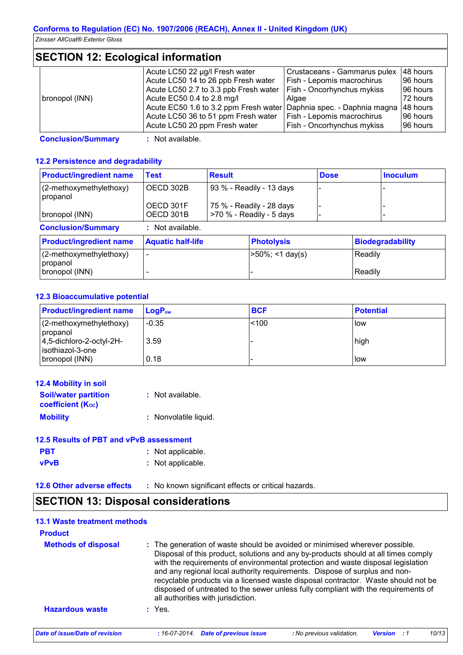# **SECTION 12: Ecological information**

|                | Acute LC50 22 µg/l Fresh water                                               | Crustaceans - Gammarus pulex      | 48 hours |
|----------------|------------------------------------------------------------------------------|-----------------------------------|----------|
|                | Acute LC50 14 to 26 ppb Fresh water                                          | <b>Fish - Lepomis macrochirus</b> | 96 hours |
|                | Acute LC50 2.7 to 3.3 ppb Fresh water   Fish - Oncorhynchus mykiss           |                                   | 96 hours |
| bronopol (INN) | Acute EC50 0.4 to 2.8 mg/l                                                   | Algae                             | 72 hours |
|                | Acute EC50 1.6 to 3.2 ppm Fresh water Daphnia spec. - Daphnia magna 48 hours |                                   |          |
|                | Acute LC50 36 to 51 ppm Fresh water                                          | <b>Fish - Lepomis macrochirus</b> | 96 hours |
|                | Acute LC50 20 ppm Fresh water                                                | <b>Fish - Oncorhynchus mykiss</b> | 96 hours |

**Conclusion/Summary :** Not available.

#### **12.2 Persistence and degradability**

| <b>Product/ingredient name</b>      | <b>Result</b><br><b>Test</b> |                          |                                                        | <b>Dose</b> |         | <b>Inoculum</b>         |
|-------------------------------------|------------------------------|--------------------------|--------------------------------------------------------|-------------|---------|-------------------------|
| (2-methoxymethylethoxy)<br>propanol | OECD 302B                    | 93 % - Readily - 13 days |                                                        |             |         |                         |
| bronopol (INN)                      | OECD 301F<br>OECD 301B       |                          | 75 % - Readily - 28 days<br>$>70$ % - Readily - 5 days |             |         |                         |
| <b>Conclusion/Summary</b>           | Not available.<br>÷.         |                          |                                                        |             |         |                         |
| <b>Product/ingredient name</b>      | <b>Aquatic half-life</b>     |                          | <b>Photolysis</b>                                      |             |         | <b>Biodegradability</b> |
| (2-methoxymethylethoxy)<br>propanol |                              |                          | $>50\%$ ; <1 day(s)                                    |             | Readily |                         |
| bronopol (INN)                      |                              |                          |                                                        |             | Readily |                         |

#### **12.3 Bioaccumulative potential**

| <b>Product/ingredient name</b>                   | <b>LogP</b> <sub>ow</sub> | <b>BCF</b> | <b>Potential</b> |
|--------------------------------------------------|---------------------------|------------|------------------|
| $(2$ -methoxymethylethoxy)<br>propanol           | $-0.35$                   | < 100      | l low            |
| $ 4,5$ -dichloro-2-octyl-2H-<br>isothiazol-3-one | 3.59                      |            | high             |
| bronopol (INN)                                   | 0.18                      |            | llow             |

| <b>12.4 Mobility in soil</b>                            |                       |
|---------------------------------------------------------|-----------------------|
| <b>Soil/water partition</b><br><b>coefficient (Koc)</b> | : Not available.      |
| <b>Mobility</b>                                         | : Nonvolatile liquid. |
| 12.5 Results of PBT and vPvB assessment                 |                       |

| <b>PBT</b>  | : Not applicable. |
|-------------|-------------------|
| <b>vPvB</b> | : Not applicable. |

**12.6 Other adverse effects** : No known significant effects or critical hazards.

# **SECTION 13: Disposal considerations**

#### **Hazardous waste :** Yes. **Methods of disposal : 13.1 Waste treatment methods Product** The generation of waste should be avoided or minimised wherever possible. Disposal of this product, solutions and any by-products should at all times comply with the requirements of environmental protection and waste disposal legislation and any regional local authority requirements. Dispose of surplus and nonrecyclable products via a licensed waste disposal contractor. Waste should not be disposed of untreated to the sewer unless fully compliant with the requirements of all authorities with jurisdiction. *Date of issue/Date of revision* **:** *16-07-2014. Date of previous issue : No previous validation. Version : 1 10/13*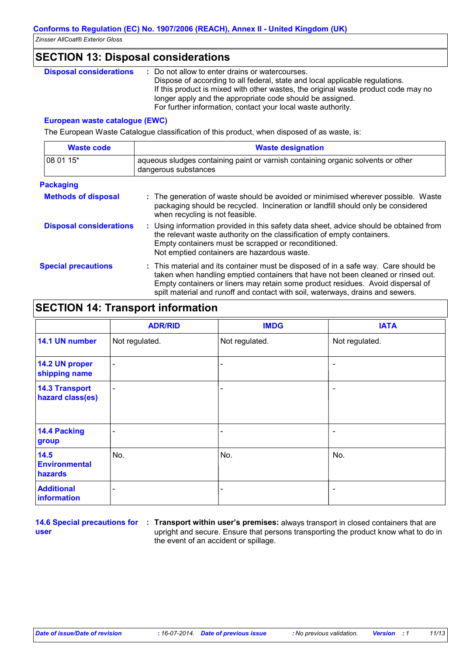# **SECTION 13: Disposal considerations**

| <b>Disposal considerations</b> | Do not allow to enter drains or watercourses.                                      |
|--------------------------------|------------------------------------------------------------------------------------|
|                                | Dispose of according to all federal, state and local applicable regulations.       |
|                                | If this product is mixed with other wastes, the original waste product code may no |
|                                | longer apply and the appropriate code should be assigned.                          |
|                                | For further information, contact your local waste authority.                       |

#### **European waste catalogue (EWC)**

The European Waste Catalogue classification of this product, when disposed of as waste, is:

| <b>Waste code</b>              | <b>Waste designation</b>                                                                                                                                                                                                                                                                                                                     |  |  |
|--------------------------------|----------------------------------------------------------------------------------------------------------------------------------------------------------------------------------------------------------------------------------------------------------------------------------------------------------------------------------------------|--|--|
| 08 01 15*                      | aqueous sludges containing paint or varnish containing organic solvents or other<br>dangerous substances                                                                                                                                                                                                                                     |  |  |
| <b>Packaging</b>               |                                                                                                                                                                                                                                                                                                                                              |  |  |
| <b>Methods of disposal</b>     | : The generation of waste should be avoided or minimised wherever possible. Waste<br>packaging should be recycled. Incineration or landfill should only be considered<br>when recycling is not feasible.                                                                                                                                     |  |  |
| <b>Disposal considerations</b> | : Using information provided in this safety data sheet, advice should be obtained from<br>the relevant waste authority on the classification of empty containers.<br>Empty containers must be scrapped or reconditioned.<br>Not emptied containers are hazardous waste.                                                                      |  |  |
| <b>Special precautions</b>     | : This material and its container must be disposed of in a safe way. Care should be<br>taken when handling emptied containers that have not been cleaned or rinsed out.<br>Empty containers or liners may retain some product residues. Avoid dispersal of<br>spilt material and runoff and contact with soil, waterways, drains and sewers. |  |  |

# **SECTION 14: Transport information**

|                                           | <b>ADR/RID</b>           | <b>IMDG</b>    | <b>IATA</b>              |
|-------------------------------------------|--------------------------|----------------|--------------------------|
| 14.1 UN number                            | Not regulated.           | Not regulated. | Not regulated.           |
| 14.2 UN proper<br>shipping name           | $\blacksquare$           |                | $\overline{\phantom{a}}$ |
| <b>14.3 Transport</b><br>hazard class(es) | $\overline{\phantom{a}}$ |                | $\overline{\phantom{a}}$ |
| 14.4 Packing<br>group                     | $\overline{\phantom{0}}$ |                | $\overline{\phantom{a}}$ |
| 14.5<br><b>Environmental</b><br>hazards   | No.                      | No.            | No.                      |
| <b>Additional</b><br>information          | $\overline{\phantom{0}}$ |                | $\overline{\phantom{a}}$ |

**user**

**14.6 Special precautions for : Transport within user's premises: always transport in closed containers that are** upright and secure. Ensure that persons transporting the product know what to do in the event of an accident or spillage.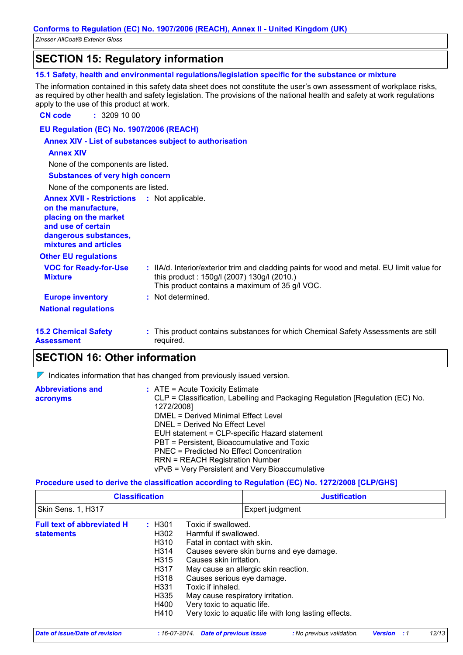### **SECTION 15: Regulatory information**

#### **15.1 Safety, health and environmental regulations/legislation specific for the substance or mixture**

The information contained in this safety data sheet does not constitute the user's own assessment of workplace risks, as required by other health and safety legislation. The provisions of the national health and safety at work regulations apply to the use of this product at work.

**CN code :** 3209 10 00

**EU Regulation (EC) No. 1907/2006 (REACH)**

#### **Annex XIV - List of substances subject to authorisation**

#### **Annex XIV**

None of the components are listed.

| <b>Substances of very high concern</b> |  |
|----------------------------------------|--|
|                                        |  |

| None of the components are listed. |
|------------------------------------|
|------------------------------------|

| <b>Annex XVII - Restrictions</b><br>on the manufacture,<br>placing on the market<br>and use of certain<br>dangerous substances,<br>mixtures and articles | : Not applicable.                                                                                                                                                                          |
|----------------------------------------------------------------------------------------------------------------------------------------------------------|--------------------------------------------------------------------------------------------------------------------------------------------------------------------------------------------|
| <b>Other EU regulations</b>                                                                                                                              |                                                                                                                                                                                            |
| <b>VOC for Ready-for-Use</b><br><b>Mixture</b>                                                                                                           | : IIA/d. Interior/exterior trim and cladding paints for wood and metal. EU limit value for<br>this product: 150g/l (2007) 130g/l (2010.)<br>This product contains a maximum of 35 g/l VOC. |
| <b>Europe inventory</b>                                                                                                                                  | : Not determined.                                                                                                                                                                          |
| <b>National regulations</b>                                                                                                                              |                                                                                                                                                                                            |
| <b>15.2 Chemical Safety</b><br><b>Assessment</b>                                                                                                         | : This product contains substances for which Chemical Safety Assessments are still<br>required.                                                                                            |

### **SECTION 16: Other information**

 $\nabla$  Indicates information that has changed from previously issued version.

| <b>Abbreviations and</b><br>acronyms | $\therefore$ ATE = Acute Toxicity Estimate<br>CLP = Classification, Labelling and Packaging Regulation [Regulation (EC) No.<br>1272/2008] |
|--------------------------------------|-------------------------------------------------------------------------------------------------------------------------------------------|
|                                      | DMEL = Derived Minimal Effect Level                                                                                                       |
|                                      | DNEL = Derived No Effect Level                                                                                                            |
|                                      | EUH statement = CLP-specific Hazard statement                                                                                             |
|                                      | PBT = Persistent, Bioaccumulative and Toxic                                                                                               |
|                                      | PNEC = Predicted No Effect Concentration                                                                                                  |
|                                      | <b>RRN = REACH Registration Number</b>                                                                                                    |
|                                      | vPvB = Very Persistent and Very Bioaccumulative                                                                                           |

#### **Procedure used to derive the classification according to Regulation (EC) No. 1272/2008 [CLP/GHS]**

| <b>Classification</b>                                  |                                                                                                                             | <b>Justification</b>                                                                                                                                                                                                          |                                                                                                                                           |  |
|--------------------------------------------------------|-----------------------------------------------------------------------------------------------------------------------------|-------------------------------------------------------------------------------------------------------------------------------------------------------------------------------------------------------------------------------|-------------------------------------------------------------------------------------------------------------------------------------------|--|
| Skin Sens. 1, H317                                     |                                                                                                                             |                                                                                                                                                                                                                               | Expert judgment                                                                                                                           |  |
| <b>Full text of abbreviated H</b><br><b>statements</b> | : H301<br>H302<br>H310<br>H <sub>3</sub> 14<br>H <sub>315</sub><br>H317<br>H318<br>H <sub>331</sub><br>H335<br>H400<br>H410 | Toxic if swallowed.<br>Harmful if swallowed.<br>Fatal in contact with skin.<br>Causes skin irritation.<br>Causes serious eye damage.<br>Toxic if inhaled.<br>May cause respiratory irritation.<br>Very toxic to aquatic life. | Causes severe skin burns and eye damage.<br>May cause an allergic skin reaction.<br>Very toxic to aquatic life with long lasting effects. |  |